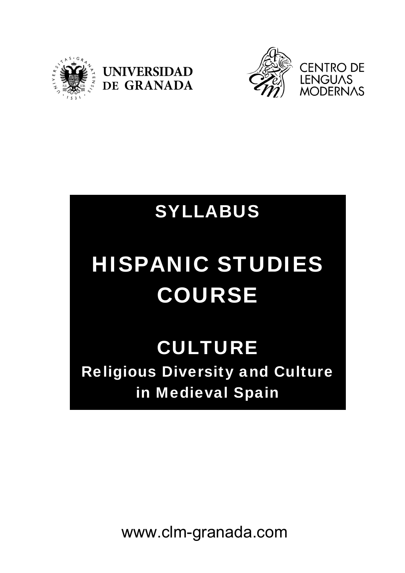





## SYLLABUS

# HISPANIC STUDIES COURSE

### **CULTURE** Religious Diversity and Culture in Medieval Spain

www.clm-granada.com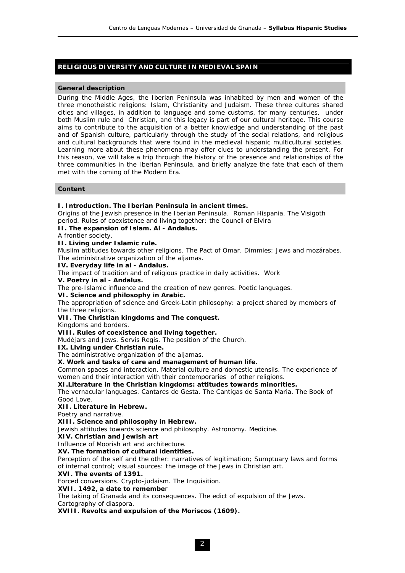#### **RELIGIOUS DIVERSITY AND CULTURE IN MEDIEVAL SPAIN**

#### **General description**

During the Middle Ages, the Iberian Peninsula was inhabited by men and women of the three monotheistic religions: Islam, Christianity and Judaism. These three cultures shared cities and villages, in addition to language and some customs, for many centuries, under both Muslim rule and Christian, and this legacy is part of our cultural heritage. This course aims to contribute to the acquisition of a better knowledge and understanding of the past and of Spanish culture, particularly through the study of the social relations, and religious and cultural backgrounds that were found in the medieval hispanic multicultural societies. Learning more about these phenomena may offer clues to understanding the present. For this reason, we will take a trip through the history of the presence and relationships of the three communities in the Iberian Peninsula, and briefly analyze the fate that each of them met with the coming of the Modern Era.

#### **Content**

#### **I. Introduction. The Iberian Peninsula in ancient times.**

Origins of the Jewish presence in the Iberian Peninsula. Roman Hispania. The Visigoth period. Rules of coexistence and living together: the Council of Elvira

#### **II. The expansion of Islam. Al - Andalus.**

A frontier society.

#### **II. Living under Islamic rule.**

Muslim attitudes towards other religions. The Pact of Omar. Dimmies: Jews and mozárabes. The administrative organization of the aljamas.

#### **IV. Everyday life in al - Andalus.**

The impact of tradition and of religious practice in daily activities. Work

**V. Poetry in al - Andalus.**

The pre-Islamic influence and the creation of new genres. Poetic languages.

**VI. Science and philosophy in Arabic.**

The appropriation of science and Greek-Latin philosophy: a project shared by members of the three religions.

#### **VII. The Christian kingdoms and The conquest.**

Kingdoms and borders.

#### **VIII. Rules of coexistence and living together.**

Mudéjars and Jews. Servis Regis. The position of the Church.

**IX. Living under Christian rule.**

The administrative organization of the aljamas.

**X. Work and tasks of care and management of human life.**

Common spaces and interaction. Material culture and domestic utensils. The experience of women and their interaction with their contemporaries of other religions.

#### **XI.Literature in the Christian kingdoms: attitudes towards minorities.**

The vernacular languages. Cantares de Gesta. The Cantigas de Santa Maria. The Book of Good Love.

#### **XII. Literature in Hebrew.**

Poetry and narrative.

#### **XIII. Science and philosophy in Hebrew.**

Jewish attitudes towards science and philosophy. Astronomy. Medicine.

**XIV. Christian and Jewish art**

Influence of Moorish art and architecture.

**XV. The formation of cultural identities.**

Perception of the self and the other: narratives of legitimation; Sumptuary laws and forms of internal control; visual sources: the image of the Jews in Christian art.

#### **XVI. The events of 1391.**

Forced conversions. Crypto-judaism. The Inquisition.

#### **XVII. 1492, a date to remembe**r

The taking of Granada and its consequences. The edict of expulsion of the Jews.

Cartography of diaspora.

**XVIII. Revolts and expulsion of the Moriscos (1609).**